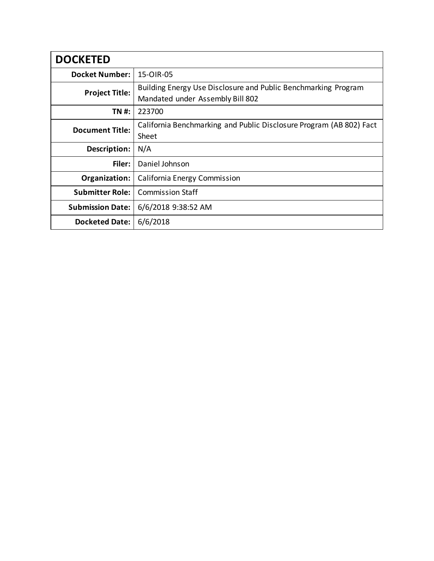| <b>DOCKETED</b>         |                                                                                                    |  |
|-------------------------|----------------------------------------------------------------------------------------------------|--|
| <b>Docket Number:</b>   | 15-OIR-05                                                                                          |  |
| <b>Project Title:</b>   | Building Energy Use Disclosure and Public Benchmarking Program<br>Mandated under Assembly Bill 802 |  |
| TN #:                   | 223700                                                                                             |  |
| <b>Document Title:</b>  | California Benchmarking and Public Disclosure Program (AB 802) Fact<br>Sheet                       |  |
| Description:            | N/A                                                                                                |  |
| Filer:                  | Daniel Johnson                                                                                     |  |
| Organization:           | California Energy Commission                                                                       |  |
| <b>Submitter Role:</b>  | <b>Commission Staff</b>                                                                            |  |
| <b>Submission Date:</b> | 6/6/2018 9:38:52 AM                                                                                |  |
| <b>Docketed Date:</b>   | 6/6/2018                                                                                           |  |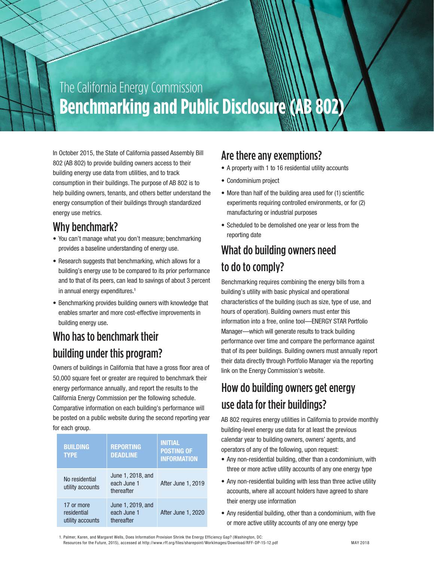# The California Energy Commission The California Energy Commission **Benchmarking and Public Disclosure (AB 802) Benchmarking and Public Disclosure (AB 802)**

In October 2015, the State of California passed Assembly Bill 802 (AB 802) to provide building owners access to their building energy use data from utilities, and to track consumption in their buildings. The purpose of AB 802 is to help building owners, tenants, and others better understand the energy consumption of their buildings through standardized energy use metrics.

#### Why benchmark?

- You can't manage what you don't measure; benchmarking provides a baseline understanding of energy use.
- Research suggests that benchmarking, which allows for a building's energy use to be compared to its prior performance and to that of its peers, can lead to savings of about 3 percent in annual energy expenditures. 1
- Benchmarking provides building owners with knowledge that enables smarter and more cost-effective improvements in building energy use.

#### Who has to benchmark their building under this program?

Owners of buildings in California that have a gross floor area of 50,000 square feet or greater are required to benchmark their energy performance annually, and report the results to the California Energy Commission per the following schedule. Comparative information on each building's performance will be posted on a public website during the second reporting year for each group.

| <b>BUILDING</b><br><b>TYPE</b>                | <b>REPORTING</b><br><b>DEADLINE</b>            | <b>INITIAL</b><br><b>POSTING OF</b><br><b>INFORMATION</b> |
|-----------------------------------------------|------------------------------------------------|-----------------------------------------------------------|
| No residential<br>utility accounts            | June 1, 2018, and<br>each June 1<br>thereafter | After June 1, 2019                                        |
| 17 or more<br>residential<br>utility accounts | June 1, 2019, and<br>each June 1<br>thereafter | After June 1, 2020                                        |

## Are there any exemptions?

- A property with 1 to 16 residential utility accounts
- Condominium project
- More than half of the building area used for (1) scientific experiments requiring controlled environments, or for (2) manufacturing or industrial purposes
- Scheduled to be demolished one year or less from the reporting date

# What do building owners need to do to comply?

Benchmarking requires combining the energy bills from a building's utility with basic physical and operational characteristics of the building (such as size, type of use, and hours of operation). Building owners must enter this information into a free, online tool—ENERGY STAR Portfolio Manager—which will generate results to track building performance over time and compare the performance against that of its peer buildings. Building owners must annually report their data directly through Portfolio Manager via the reporting link on the Energy Commission's website.

# How do building owners get energy use data for their buildings?

AB 802 requires energy utilities in California to provide monthly building-level energy use data for at least the previous calendar year to building owners, owners' agents, and operators of any of the following, upon request:

- Any non-residential building, other than a condominium, with three or more active utility accounts of any one energy type
- Any non-residential building with less than three active utility accounts, where all account holders have agreed to share their energy use information
- Any residential building, other than a condominium, with five or more active utility accounts of any one energy type

1. Palmer, Karen, and Margaret Wells, Does Information Provision Shrink the Energy Efficiency Gap? (Washington, DC: Resources for the Future, 2015), accessed at http://www.rff.org/files/sharepoint/WorkImages/Download/RFF-DP-15-12.pdf